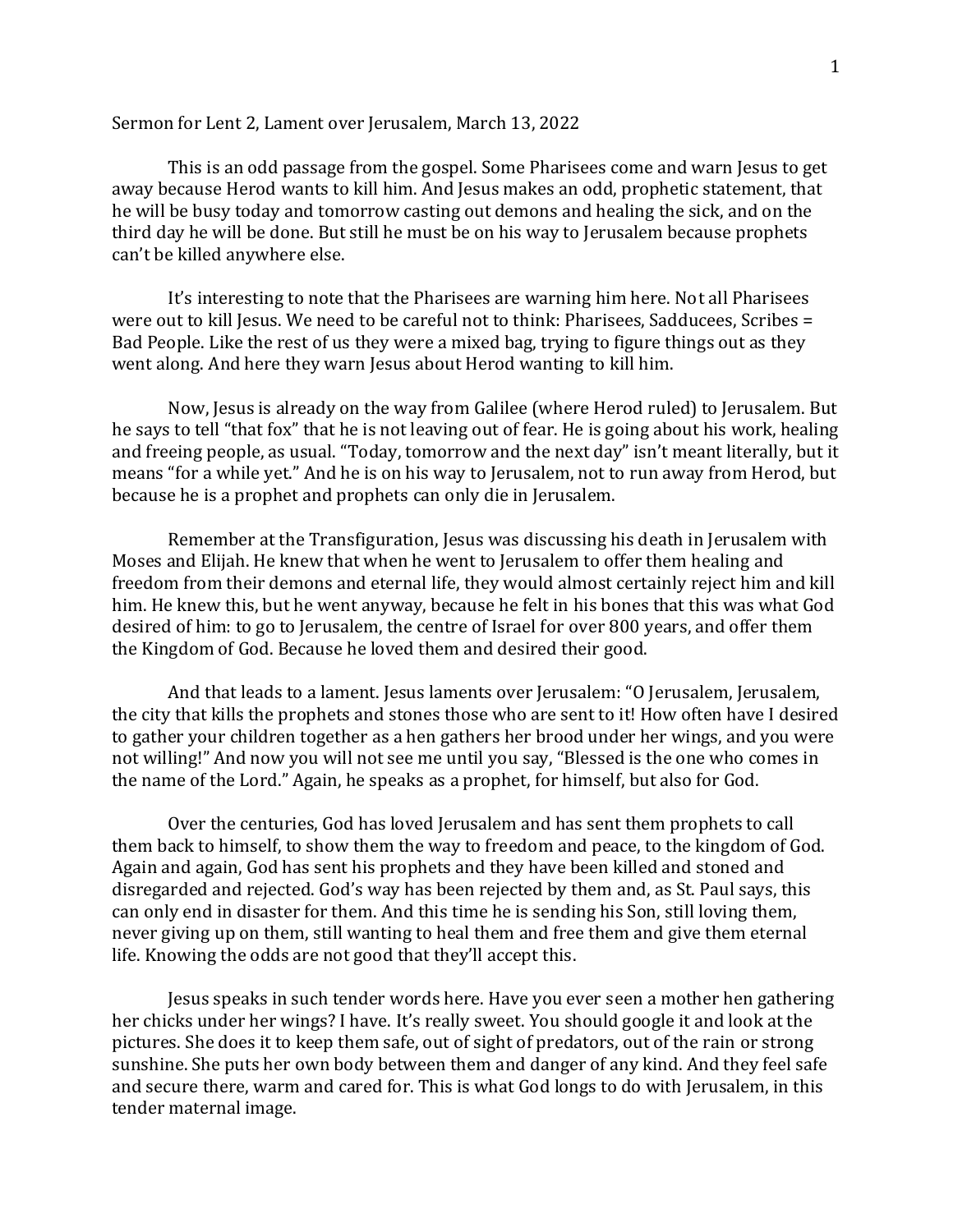## Sermon for Lent 2, Lament over Jerusalem, March 13, 2022

This is an odd passage from the gospel. Some Pharisees come and warn Jesus to get away because Herod wants to kill him. And Jesus makes an odd, prophetic statement, that he will be busy today and tomorrow casting out demons and healing the sick, and on the third day he will be done. But still he must be on his way to Jerusalem because prophets can't be killed anywhere else.

It's interesting to note that the Pharisees are warning him here. Not all Pharisees were out to kill Jesus. We need to be careful not to think: Pharisees, Sadducees, Scribes = Bad People. Like the rest of us they were a mixed bag, trying to figure things out as they went along. And here they warn Jesus about Herod wanting to kill him.

Now, Jesus is already on the way from Galilee (where Herod ruled) to Jerusalem. But he says to tell "that fox" that he is not leaving out of fear. He is going about his work, healing and freeing people, as usual. "Today, tomorrow and the next day" isn't meant literally, but it means "for a while yet." And he is on his way to Jerusalem, not to run away from Herod, but because he is a prophet and prophets can only die in Jerusalem.

Remember at the Transfiguration, Jesus was discussing his death in Jerusalem with Moses and Elijah. He knew that when he went to Jerusalem to offer them healing and freedom from their demons and eternal life, they would almost certainly reject him and kill him. He knew this, but he went anyway, because he felt in his bones that this was what God desired of him: to go to Jerusalem, the centre of Israel for over 800 years, and offer them the Kingdom of God. Because he loved them and desired their good.

And that leads to a lament. Jesus laments over Jerusalem: "O Jerusalem, Jerusalem, the city that kills the prophets and stones those who are sent to it! How often have I desired to gather your children together as a hen gathers her brood under her wings, and you were not willing!" And now you will not see me until you say, "Blessed is the one who comes in the name of the Lord." Again, he speaks as a prophet, for himself, but also for God.

Over the centuries, God has loved Jerusalem and has sent them prophets to call them back to himself, to show them the way to freedom and peace, to the kingdom of God. Again and again, God has sent his prophets and they have been killed and stoned and disregarded and rejected. God's way has been rejected by them and, as St. Paul says, this can only end in disaster for them. And this time he is sending his Son, still loving them, never giving up on them, still wanting to heal them and free them and give them eternal life. Knowing the odds are not good that they'll accept this.

Jesus speaks in such tender words here. Have you ever seen a mother hen gathering her chicks under her wings? I have. It's really sweet. You should google it and look at the pictures. She does it to keep them safe, out of sight of predators, out of the rain or strong sunshine. She puts her own body between them and danger of any kind. And they feel safe and secure there, warm and cared for. This is what God longs to do with Jerusalem, in this tender maternal image.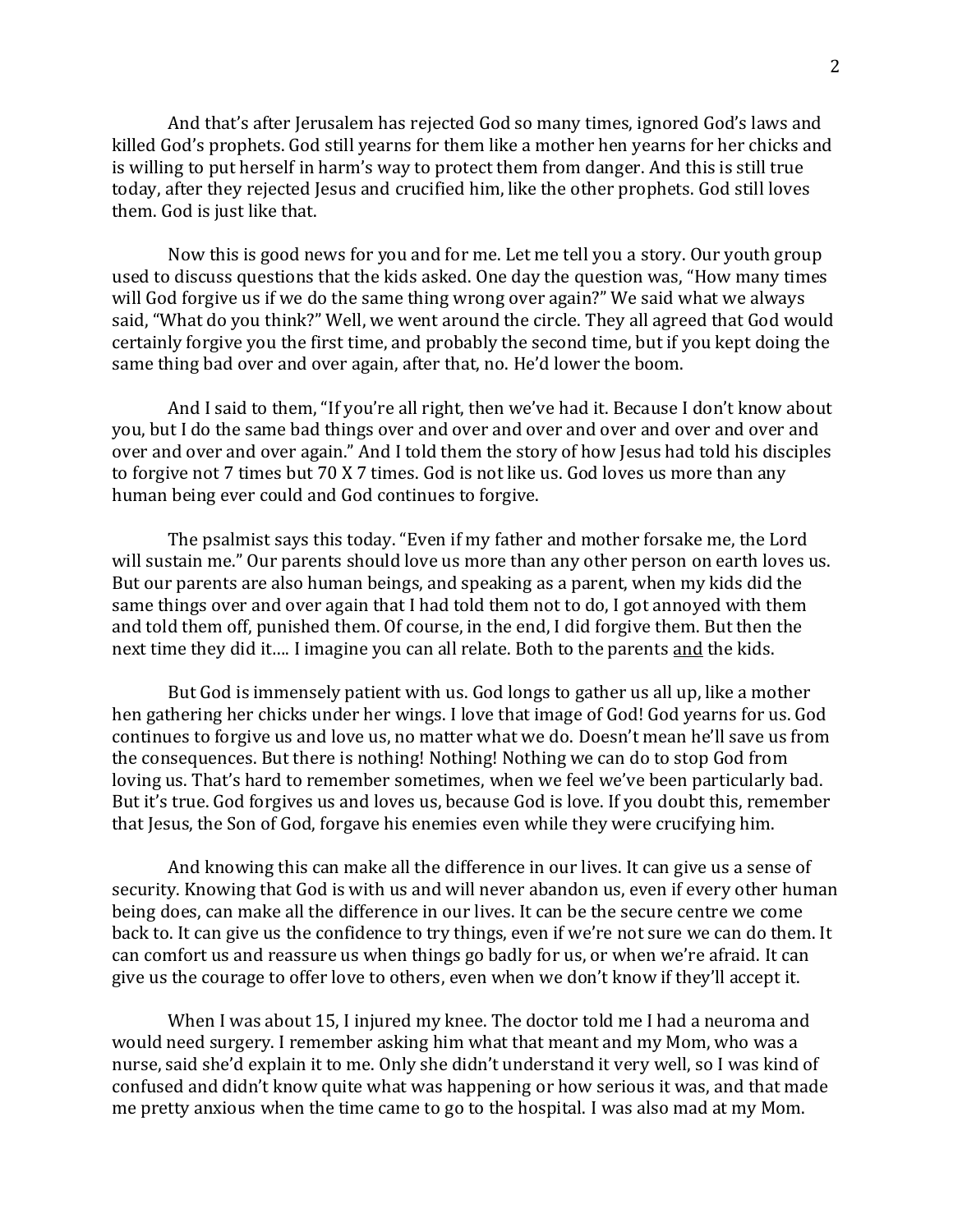And that's after Jerusalem has rejected God so many times, ignored God's laws and killed God's prophets. God still yearns for them like a mother hen yearns for her chicks and is willing to put herself in harm's way to protect them from danger. And this is still true today, after they rejected Jesus and crucified him, like the other prophets. God still loves them. God is just like that.

Now this is good news for you and for me. Let me tell you a story. Our youth group used to discuss questions that the kids asked. One day the question was, "How many times will God forgive us if we do the same thing wrong over again?" We said what we always said, "What do you think?" Well, we went around the circle. They all agreed that God would certainly forgive you the first time, and probably the second time, but if you kept doing the same thing bad over and over again, after that, no. He'd lower the boom.

And I said to them, "If you're all right, then we've had it. Because I don't know about you, but I do the same bad things over and over and over and over and over and over and over and over and over again." And I told them the story of how Jesus had told his disciples to forgive not 7 times but 70 X 7 times. God is not like us. God loves us more than any human being ever could and God continues to forgive.

The psalmist says this today. "Even if my father and mother forsake me, the Lord will sustain me." Our parents should love us more than any other person on earth loves us. But our parents are also human beings, and speaking as a parent, when my kids did the same things over and over again that I had told them not to do, I got annoyed with them and told them off, punished them. Of course, in the end, I did forgive them. But then the next time they did it…. I imagine you can all relate. Both to the parents and the kids.

But God is immensely patient with us. God longs to gather us all up, like a mother hen gathering her chicks under her wings. I love that image of God! God yearns for us. God continues to forgive us and love us, no matter what we do. Doesn't mean he'll save us from the consequences. But there is nothing! Nothing! Nothing we can do to stop God from loving us. That's hard to remember sometimes, when we feel we've been particularly bad. But it's true. God forgives us and loves us, because God is love. If you doubt this, remember that Jesus, the Son of God, forgave his enemies even while they were crucifying him.

And knowing this can make all the difference in our lives. It can give us a sense of security. Knowing that God is with us and will never abandon us, even if every other human being does, can make all the difference in our lives. It can be the secure centre we come back to. It can give us the confidence to try things, even if we're not sure we can do them. It can comfort us and reassure us when things go badly for us, or when we're afraid. It can give us the courage to offer love to others, even when we don't know if they'll accept it.

When I was about 15, I injured my knee. The doctor told me I had a neuroma and would need surgery. I remember asking him what that meant and my Mom, who was a nurse, said she'd explain it to me. Only she didn't understand it very well, so I was kind of confused and didn't know quite what was happening or how serious it was, and that made me pretty anxious when the time came to go to the hospital. I was also mad at my Mom.